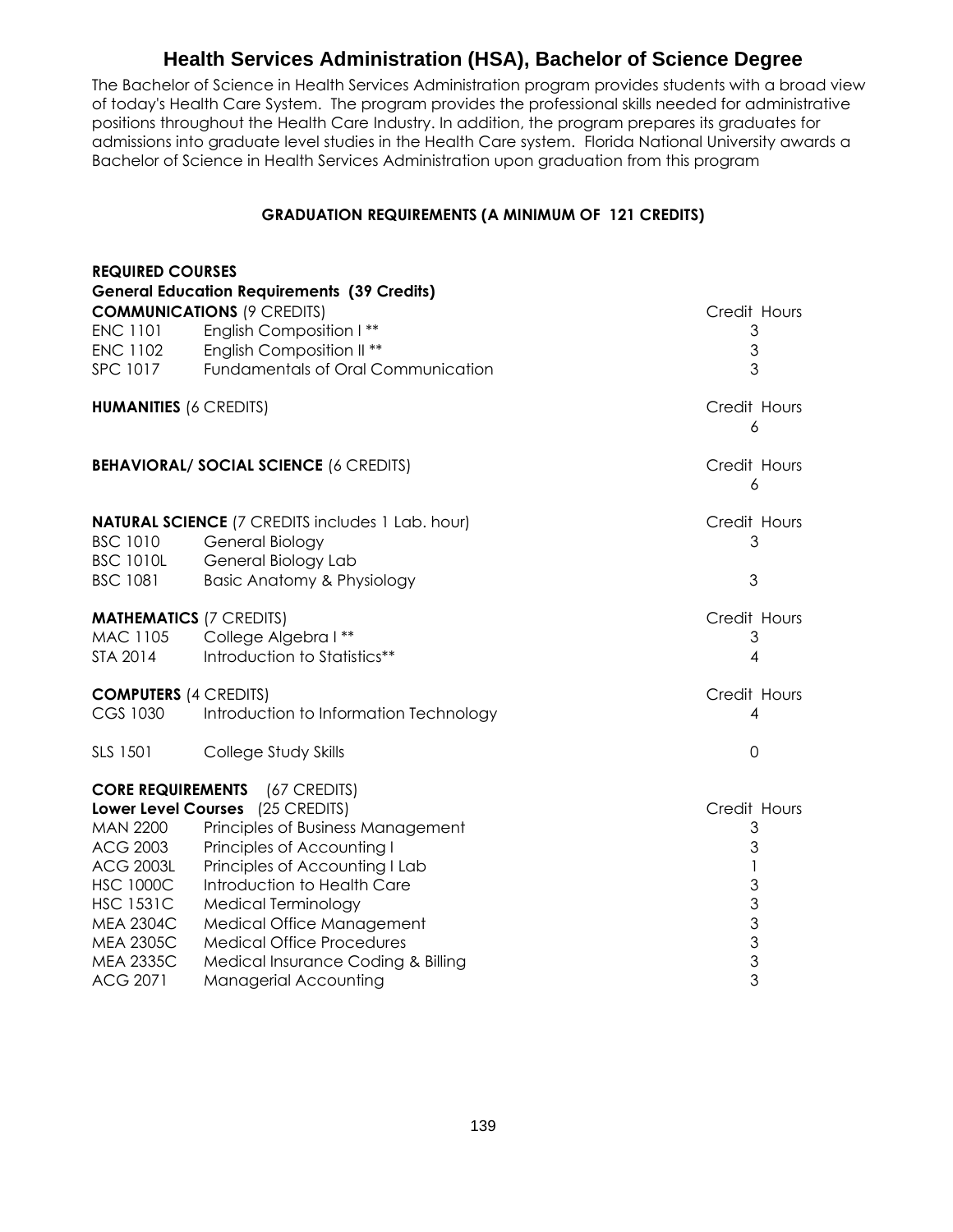## **Health Services Administration (HSA), Bachelor of Science Degree**

The Bachelor of Science in Health Services Administration program provides students with a broad view of today's Health Care System. The program provides the professional skills needed for administrative positions throughout the Health Care Industry. In addition, the program prepares its graduates for admissions into graduate level studies in the Health Care system. Florida National University awards a Bachelor of Science in Health Services Administration upon graduation from this program

## **GRADUATION REQUIREMENTS (A MINIMUM OF 121 CREDITS)**

| <b>REQUIRED COURSES</b>             |                                                                                                   |                                               |
|-------------------------------------|---------------------------------------------------------------------------------------------------|-----------------------------------------------|
|                                     | <b>General Education Requirements (39 Credits)</b>                                                |                                               |
|                                     | <b>COMMUNICATIONS (9 CREDITS)</b>                                                                 | Credit Hours                                  |
| <b>ENC 1101</b>                     | English Composition I**                                                                           | 3                                             |
| <b>ENC 1102</b>                     | English Composition II **                                                                         | $\mathfrak{Z}$                                |
| <b>SPC 1017</b>                     | Fundamentals of Oral Communication                                                                | 3                                             |
| <b>HUMANITIES (6 CREDITS)</b>       |                                                                                                   | Credit Hours<br>6                             |
|                                     | <b>BEHAVIORAL/ SOCIAL SCIENCE (6 CREDITS)</b>                                                     | Credit Hours<br>6                             |
| <b>BSC 1010</b><br><b>BSC 1010L</b> | <b>NATURAL SCIENCE</b> (7 CREDITS includes 1 Lab. hour)<br>General Biology<br>General Biology Lab | Credit Hours<br>3                             |
| <b>BSC 1081</b>                     | <b>Basic Anatomy &amp; Physiology</b>                                                             | 3                                             |
| <b>MATHEMATICS (7 CREDITS)</b>      |                                                                                                   | Credit Hours                                  |
|                                     | MAC 1105 College Algebra I**                                                                      | 3                                             |
| STA 2014                            | Introduction to Statistics**                                                                      | 4                                             |
| <b>COMPUTERS (4 CREDITS)</b>        |                                                                                                   | Credit Hours                                  |
| CGS 1030                            | Introduction to Information Technology                                                            | 4                                             |
| SLS 1501                            | College Study Skills                                                                              | $\mathbf 0$                                   |
|                                     | <b>CORE REQUIREMENTS</b> (67 CREDITS)                                                             |                                               |
|                                     | Lower Level Courses (25 CREDITS)                                                                  | Credit Hours                                  |
| <b>MAN 2200</b>                     | Principles of Business Management                                                                 | 3                                             |
| <b>ACG 2003</b>                     | Principles of Accounting I                                                                        | 3                                             |
| <b>ACG 2003L</b>                    | Principles of Accounting I Lab                                                                    | 1                                             |
| <b>HSC 1000C</b>                    | Introduction to Health Care                                                                       | $\mathfrak{S}% _{C}=\mathfrak{S}_{C}^{\ast }$ |
| <b>HSC 1531C</b>                    | Medical Terminology                                                                               | $\mathfrak{S}$                                |
| <b>MEA 2304C</b>                    | Medical Office Management                                                                         | $\overline{3}$<br>$\overline{3}$              |
| <b>MEA 2305C</b>                    | <b>Medical Office Procedures</b>                                                                  | $\overline{3}$                                |
| <b>MEA 2335C</b><br><b>ACG 2071</b> | Medical Insurance Coding & Billing                                                                | 3                                             |
|                                     | Managerial Accounting                                                                             |                                               |